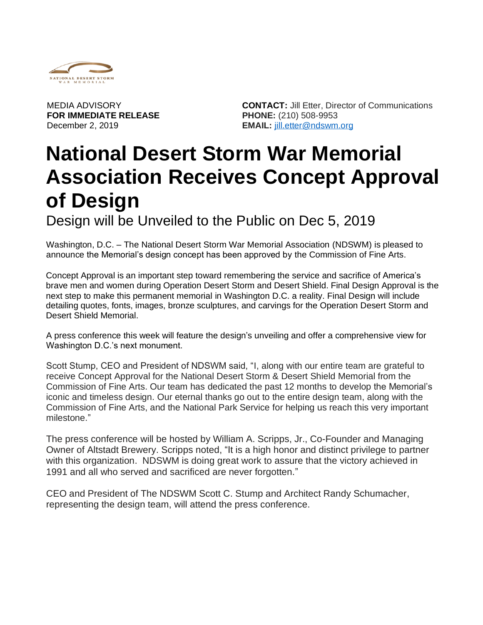

**FOR IMMEDIATE RELEASE PHONE:** (210) 508-9953

MEDIA ADVISORY **CONTACT:** Jill Etter, Director of Communications December 2, 2019 **EMAIL:** [jill.etter@ndswm.org](mailto:jill.etter@ndswm.org)

## **National Desert Storm War Memorial Association Receives Concept Approval of Design**

Design will be Unveiled to the Public on Dec 5, 2019

Washington, D.C. – The National Desert Storm War Memorial Association (NDSWM) is pleased to announce the Memorial's design concept has been approved by the Commission of Fine Arts.

Concept Approval is an important step toward remembering the service and sacrifice of America's brave men and women during Operation Desert Storm and Desert Shield. Final Design Approval is the next step to make this permanent memorial in Washington D.C. a reality. Final Design will include detailing quotes, fonts, images, bronze sculptures, and carvings for the Operation Desert Storm and Desert Shield Memorial.

A press conference this week will feature the design's unveiling and offer a comprehensive view for Washington D.C.'s next monument.

Scott Stump, CEO and President of NDSWM said, "I, along with our entire team are grateful to receive Concept Approval for the National Desert Storm & Desert Shield Memorial from the Commission of Fine Arts. Our team has dedicated the past 12 months to develop the Memorial's iconic and timeless design. Our eternal thanks go out to the entire design team, along with the Commission of Fine Arts, and the National Park Service for helping us reach this very important milestone."

The press conference will be hosted by William A. Scripps, Jr., Co-Founder and Managing Owner of Altstadt Brewery. Scripps noted, "It is a high honor and distinct privilege to partner with this organization. NDSWM is doing great work to assure that the victory achieved in 1991 and all who served and sacrificed are never forgotten."

CEO and President of The NDSWM Scott C. Stump and Architect Randy Schumacher, representing the design team, will attend the press conference.